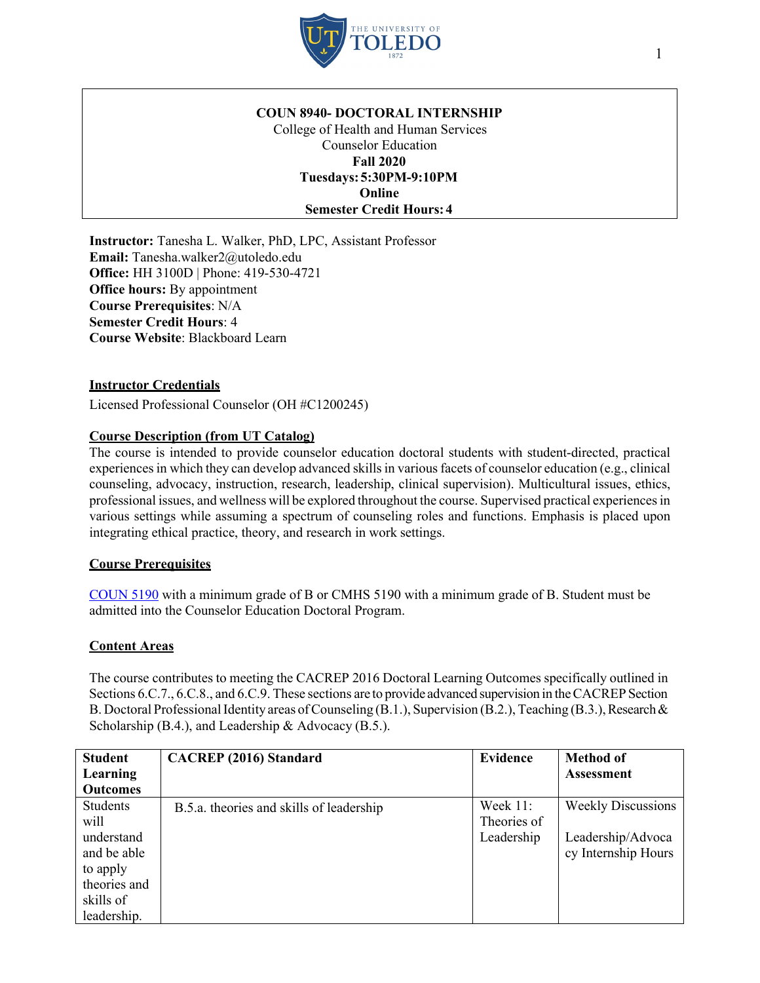

### **COUN 8940- DOCTORAL INTERNSHIP**

College of Health and Human Services Counselor Education **Fall 2020 Tuesdays:5:30PM-9:10PM Online Semester Credit Hours: 4**

**Instructor:** Tanesha L. Walker, PhD, LPC, Assistant Professor **Email:** Tanesha.walker2@utoledo.edu **Office:** HH 3100D | Phone: 419-530-4721 **Office hours:** By appointment **Course Prerequisites**: N/A **Semester Credit Hours**: 4 **Course Website**: Blackboard Learn

## **Instructor Credentials**

Licensed Professional Counselor (OH #C1200245)

## **Course Description (from UT Catalog)**

The course is intended to provide counselor education doctoral students with student-directed, practical experiences in which they can develop advanced skills in various facets of counselor education (e.g., clinical counseling, advocacy, instruction, research, leadership, clinical supervision). Multicultural issues, ethics, professional issues, and wellness will be explored throughout the course. Supervised practical experiencesin various settings while assuming a spectrum of counseling roles and functions. Emphasis is placed upon integrating ethical practice, theory, and research in work settings.

### **Course Prerequisites**

COUN 5190 with a minimum grade of B or CMHS 5190 with a minimum grade of B. Student must be admitted into the Counselor Education Doctoral Program.

### **Content Areas**

The course contributes to meeting the CACREP 2016 Doctoral Learning Outcomes specifically outlined in Sections 6.C.7., 6.C.8., and 6.C.9. These sections are to provide advanced supervision in the CACREP Section B. Doctoral Professional Identity areas of Counseling (B.1.), Supervision (B.2.), Teaching (B.3.), Research & Scholarship (B.4.), and Leadership & Advocacy (B.5.).

| <b>Student</b>  | <b>CACREP</b> (2016) Standard            | Evidence    | <b>Method of</b>          |
|-----------------|------------------------------------------|-------------|---------------------------|
| Learning        |                                          |             | <b>Assessment</b>         |
| <b>Outcomes</b> |                                          |             |                           |
| Students        | B.5.a. theories and skills of leadership | Week 11:    | <b>Weekly Discussions</b> |
| will            |                                          | Theories of |                           |
| understand      |                                          | Leadership  | Leadership/Advoca         |
| and be able     |                                          |             | cy Internship Hours       |
| to apply        |                                          |             |                           |
| theories and    |                                          |             |                           |
| skills of       |                                          |             |                           |
| leadership.     |                                          |             |                           |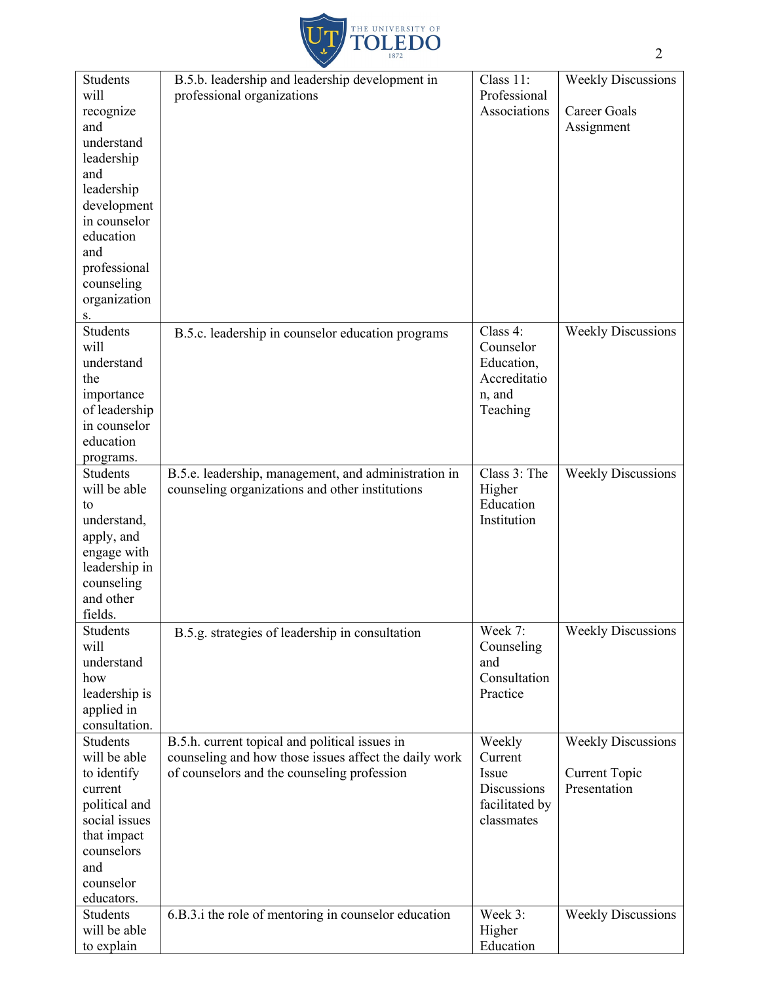

| <b>Students</b> | B.5.b. leadership and leadership development in       | Class 11:      | <b>Weekly Discussions</b>            |
|-----------------|-------------------------------------------------------|----------------|--------------------------------------|
| will            | professional organizations                            | Professional   |                                      |
| recognize       |                                                       | Associations   | Career Goals                         |
| and             |                                                       |                | Assignment                           |
| understand      |                                                       |                |                                      |
| leadership      |                                                       |                |                                      |
| and             |                                                       |                |                                      |
| leadership      |                                                       |                |                                      |
| development     |                                                       |                |                                      |
| in counselor    |                                                       |                |                                      |
| education       |                                                       |                |                                      |
| and             |                                                       |                |                                      |
| professional    |                                                       |                |                                      |
| counseling      |                                                       |                |                                      |
| organization    |                                                       |                |                                      |
| S.              |                                                       |                |                                      |
| <b>Students</b> |                                                       | Class 4:       | <b>Weekly Discussions</b>            |
| will            | B.5.c. leadership in counselor education programs     | Counselor      |                                      |
| understand      |                                                       |                |                                      |
|                 |                                                       | Education,     |                                      |
| the             |                                                       | Accreditatio   |                                      |
| importance      |                                                       | n, and         |                                      |
| of leadership   |                                                       | Teaching       |                                      |
| in counselor    |                                                       |                |                                      |
| education       |                                                       |                |                                      |
| programs.       |                                                       |                |                                      |
| <b>Students</b> | B.5.e. leadership, management, and administration in  | Class 3: The   | <b>Weekly Discussions</b>            |
| will be able    | counseling organizations and other institutions       | Higher         |                                      |
| to              |                                                       | Education      |                                      |
| understand,     |                                                       | Institution    |                                      |
| apply, and      |                                                       |                |                                      |
| engage with     |                                                       |                |                                      |
| leadership in   |                                                       |                |                                      |
| counseling      |                                                       |                |                                      |
| and other       |                                                       |                |                                      |
| fields.         |                                                       |                |                                      |
| <b>Students</b> | B.5.g. strategies of leadership in consultation       | Week 7:        | <b>Weekly Discussions</b>            |
| will            |                                                       | Counseling     |                                      |
| understand      |                                                       | and            |                                      |
| how             |                                                       | Consultation   |                                      |
| leadership is   |                                                       | Practice       |                                      |
| applied in      |                                                       |                |                                      |
| consultation.   |                                                       |                |                                      |
| Students        | B.5.h. current topical and political issues in        | Weekly         | <b>Weekly Discussions</b>            |
| will be able    | counseling and how those issues affect the daily work | Current        |                                      |
|                 |                                                       | Issue          |                                      |
| to identify     | of counselors and the counseling profession           | Discussions    | <b>Current Topic</b><br>Presentation |
| current         |                                                       |                |                                      |
| political and   |                                                       | facilitated by |                                      |
| social issues   |                                                       | classmates     |                                      |
| that impact     |                                                       |                |                                      |
| counselors      |                                                       |                |                                      |
| and             |                                                       |                |                                      |
| counselor       |                                                       |                |                                      |
| educators.      |                                                       |                |                                      |
| Students        | 6.B.3.i the role of mentoring in counselor education  | Week 3:        | <b>Weekly Discussions</b>            |
| will be able    |                                                       | Higher         |                                      |
| to explain      |                                                       | Education      |                                      |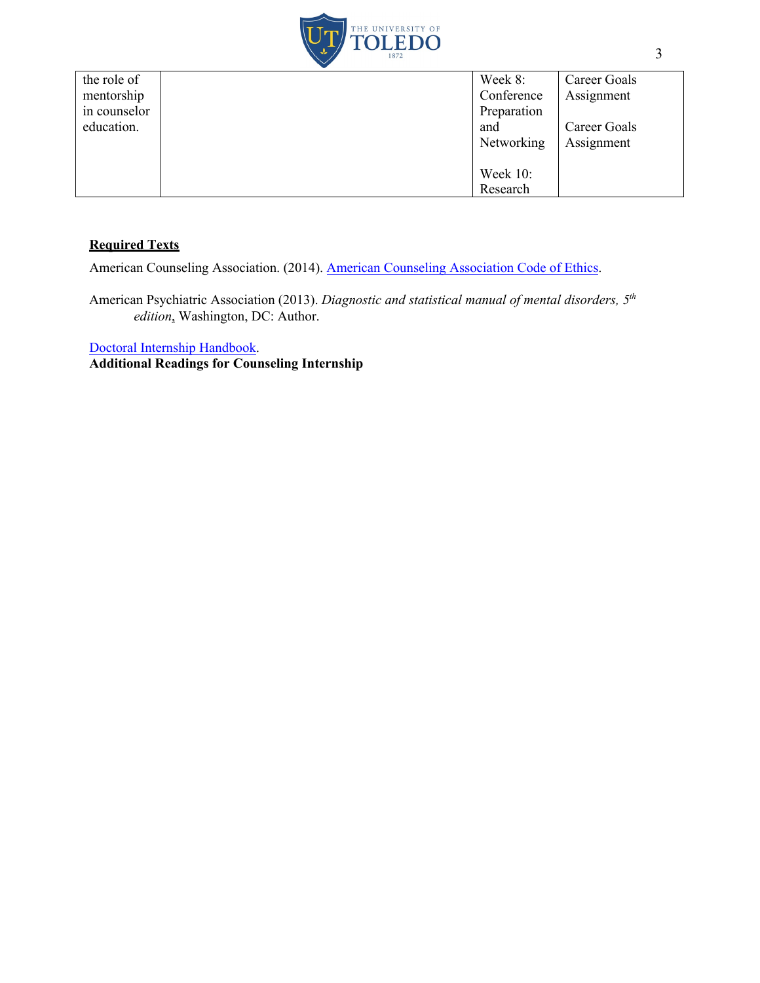

| the role of  | Week 8:     | Career Goals |
|--------------|-------------|--------------|
| mentorship   | Conference  | Assignment   |
| in counselor | Preparation |              |
| education.   | and         | Career Goals |
|              | Networking  | Assignment   |
|              |             |              |
|              | Week $10$ : |              |
|              | Research    |              |

# **Required Texts**

American Counseling Association. (2014). American Counseling Association Code of Ethics.

American Psychiatric Association (2013). *Diagnostic and statistical manual of mental disorders, 5th edition*, Washington, DC: Author.

Doctoral Internship Handbook.

**Additional Readings for Counseling Internship**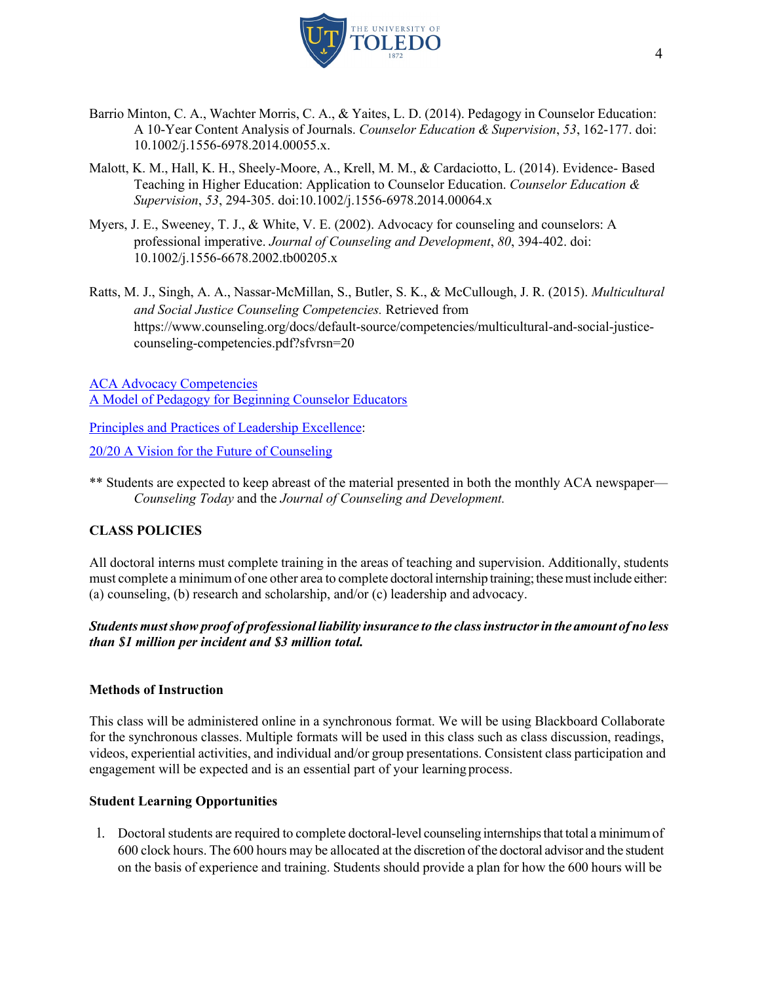

- Barrio Minton, C. A., Wachter Morris, C. A., & Yaites, L. D. (2014). Pedagogy in Counselor Education: A 10-Year Content Analysis of Journals. *Counselor Education & Supervision*, *53*, 162-177. doi: 10.1002/j.1556-6978.2014.00055.x.
- Malott, K. M., Hall, K. H., Sheely-Moore, A., Krell, M. M., & Cardaciotto, L. (2014). Evidence- Based Teaching in Higher Education: Application to Counselor Education. *Counselor Education & Supervision*, *53*, 294-305. doi:10.1002/j.1556-6978.2014.00064.x
- Myers, J. E., Sweeney, T. J., & White, V. E. (2002). Advocacy for counseling and counselors: A professional imperative. *Journal of Counseling and Development*, *80*, 394-402. doi: 10.1002/j.1556-6678.2002.tb00205.x
- Ratts, M. J., Singh, A. A., Nassar-McMillan, S., Butler, S. K., & McCullough, J. R. (2015). *Multicultural and Social Justice Counseling Competencies.* Retrieved from https://www.counseling.org/docs/default-source/competencies/multicultural-and-social-justicecounseling-competencies.pdf?sfvrsn=20

ACA Advocacy Competencies A Model of Pedagogy for Beginning Counselor Educators

Principles and Practices of Leadership Excellence:

20/20 A Vision for the Future of Counseling

\*\* Students are expected to keep abreast of the material presented in both the monthly ACA newspaper— *Counseling Today* and the *Journal of Counseling and Development.*

# **CLASS POLICIES**

All doctoral interns must complete training in the areas of teaching and supervision. Additionally, students must complete a minimum of one other area to complete doctoral internship training; these must include either: (a) counseling, (b) research and scholarship, and/or (c) leadership and advocacy.

# *Students mustshow proof of professional liability insurance to the classinstructorin the amount of no less than \$1 million per incident and \$3 million total.*

# **Methods of Instruction**

This class will be administered online in a synchronous format. We will be using Blackboard Collaborate for the synchronous classes. Multiple formats will be used in this class such as class discussion, readings, videos, experiential activities, and individual and/or group presentations. Consistent class participation and engagement will be expected and is an essential part of your learning process.

# **Student Learning Opportunities**

1. Doctoral students are required to complete doctoral-level counseling internships that total a minimum of 600 clock hours. The 600 hours may be allocated at the discretion ofthe doctoral advisor and the student on the basis of experience and training. Students should provide a plan for how the 600 hours will be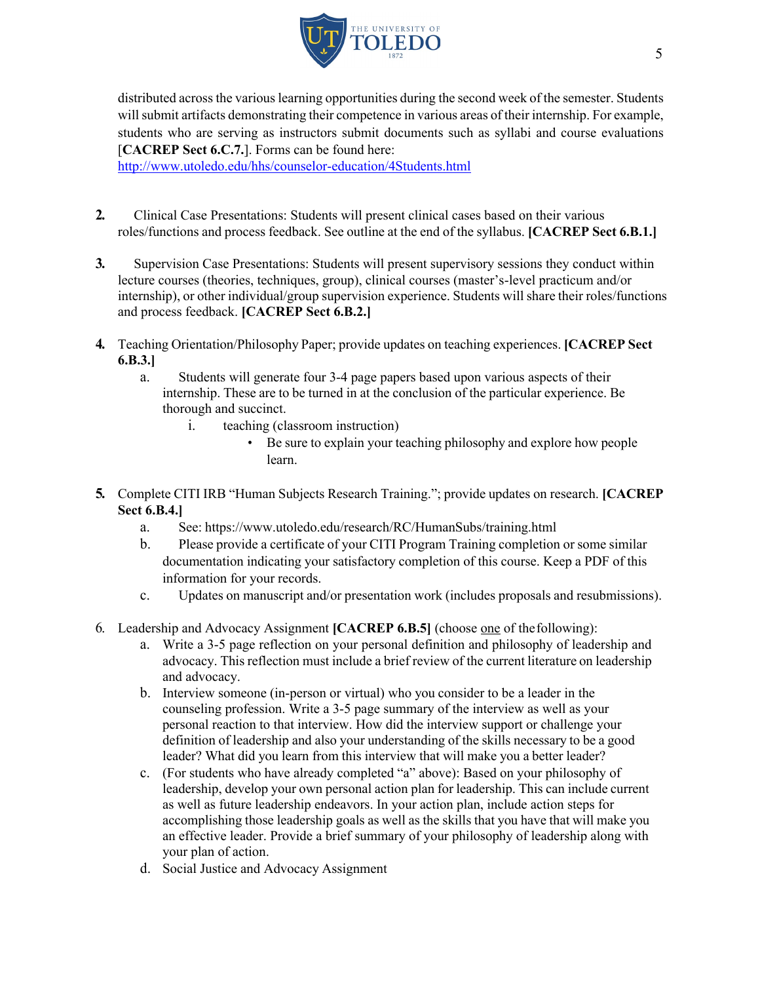

distributed across the variouslearning opportunities during the second week of the semester. Students will submit artifacts demonstrating their competence in various areas of their internship. For example, students who are serving as instructors submit documents such as syllabi and course evaluations [**CACREP Sect 6.C.7.**]. Forms can be found here:

http://www.utoledo.edu/hhs/counselor-education/4Students.html

- **2.** Clinical Case Presentations: Students will present clinical cases based on their various roles/functions and process feedback. See outline at the end of the syllabus. **[CACREP Sect 6.B.1.]**
- **3.** Supervision Case Presentations: Students will present supervisory sessions they conduct within lecture courses (theories, techniques, group), clinical courses (master's-level practicum and/or internship), or other individual/group supervision experience. Students will share their roles/functions and process feedback. **[CACREP Sect 6.B.2.]**
- **4.** Teaching Orientation/Philosophy Paper; provide updates on teaching experiences. **[CACREP Sect 6.B.3.]**
	- a. Students will generate four 3-4 page papers based upon various aspects of their internship. These are to be turned in at the conclusion of the particular experience. Be thorough and succinct.
		- i. teaching (classroom instruction)
			- Be sure to explain your teaching philosophy and explore how people learn.
- **5.** Complete CITI IRB "Human Subjects Research Training."; provide updates on research. **[CACREP Sect 6.B.4.]**
	- a. See: https://www.utoledo.edu/research/RC/HumanSubs/training.html
	- b. Please provide a certificate of your CITI Program Training completion or some similar documentation indicating your satisfactory completion of this course. Keep a PDF of this information for your records.
	- c. Updates on manuscript and/or presentation work (includes proposals and resubmissions).
- 6. Leadership and Advocacy Assignment **[CACREP 6.B.5]** (choose one of thefollowing):
	- a. Write a 3-5 page reflection on your personal definition and philosophy of leadership and advocacy. This reflection must include a brief review of the current literature on leadership and advocacy.
	- b. Interview someone (in-person or virtual) who you consider to be a leader in the counseling profession. Write a 3-5 page summary of the interview as well as your personal reaction to that interview. How did the interview support or challenge your definition of leadership and also your understanding of the skills necessary to be a good leader? What did you learn from this interview that will make you a better leader?
	- c. (For students who have already completed "a" above): Based on your philosophy of leadership, develop your own personal action plan for leadership. This can include current as well as future leadership endeavors. In your action plan, include action steps for accomplishing those leadership goals as well as the skills that you have that will make you an effective leader. Provide a brief summary of your philosophy of leadership along with your plan of action.
	- d. Social Justice and Advocacy Assignment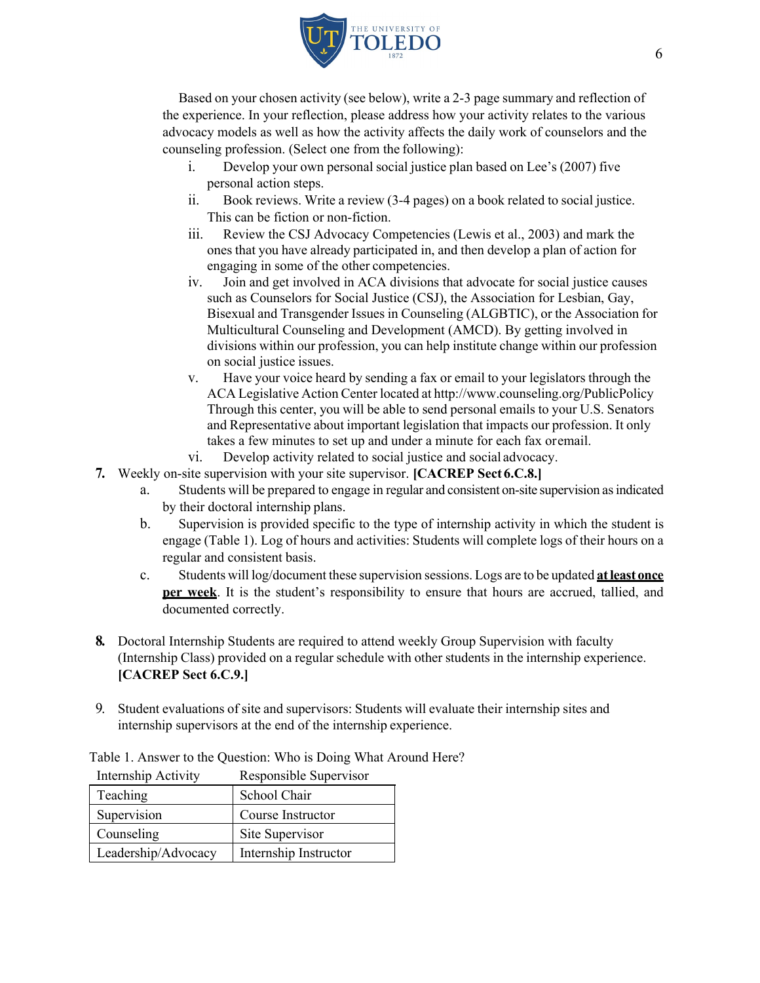

Based on your chosen activity (see below), write a 2-3 page summary and reflection of the experience. In your reflection, please address how your activity relates to the various advocacy models as well as how the activity affects the daily work of counselors and the counseling profession. (Select one from the following):

- i. Develop your own personal social justice plan based on Lee's (2007) five personal action steps.
- ii. Book reviews. Write a review (3-4 pages) on a book related to social justice. This can be fiction or non-fiction.
- iii. Review the CSJ Advocacy Competencies (Lewis et al., 2003) and mark the ones that you have already participated in, and then develop a plan of action for engaging in some of the other competencies.
- iv. Join and get involved in ACA divisions that advocate for social justice causes such as Counselors for Social Justice (CSJ), the Association for Lesbian, Gay, Bisexual and Transgender Issues in Counseling (ALGBTIC), or the Association for Multicultural Counseling and Development (AMCD). By getting involved in divisions within our profession, you can help institute change within our profession on social justice issues.
- v. Have your voice heard by sending a fax or email to your legislators through the ACA Legislative Action Center located at http://www.counseling.org/PublicPolicy Through this center, you will be able to send personal emails to your U.S. Senators and Representative about important legislation that impacts our profession. It only takes a few minutes to set up and under a minute for each fax oremail.
- vi. Develop activity related to social justice and social advocacy.
- **7.** Weekly on-site supervision with your site supervisor. **[CACREP Sect 6.C.8.]**
	- a. Students will be prepared to engage in regular and consistent on-site supervision asindicated by their doctoral internship plans.
	- b. Supervision is provided specific to the type of internship activity in which the student is engage (Table 1). Log of hours and activities: Students will complete logs of their hours on a regular and consistent basis.
	- c. Students will log/document these supervision sessions. Logs are to be updated **atleast once per week**. It is the student's responsibility to ensure that hours are accrued, tallied, and documented correctly.
- **8.** Doctoral Internship Students are required to attend weekly Group Supervision with faculty (Internship Class) provided on a regular schedule with other students in the internship experience. **[CACREP Sect 6.C.9.]**
- 9. Student evaluations of site and supervisors: Students will evaluate their internship sites and internship supervisors at the end of the internship experience.

Table 1. Answer to the Question: Who is Doing What Around Here?

| Teaching            | School Chair          |
|---------------------|-----------------------|
| Supervision         | Course Instructor     |
| Counseling          | Site Supervisor       |
| Leadership/Advocacy | Internship Instructor |

Internship Activity Responsible Supervisor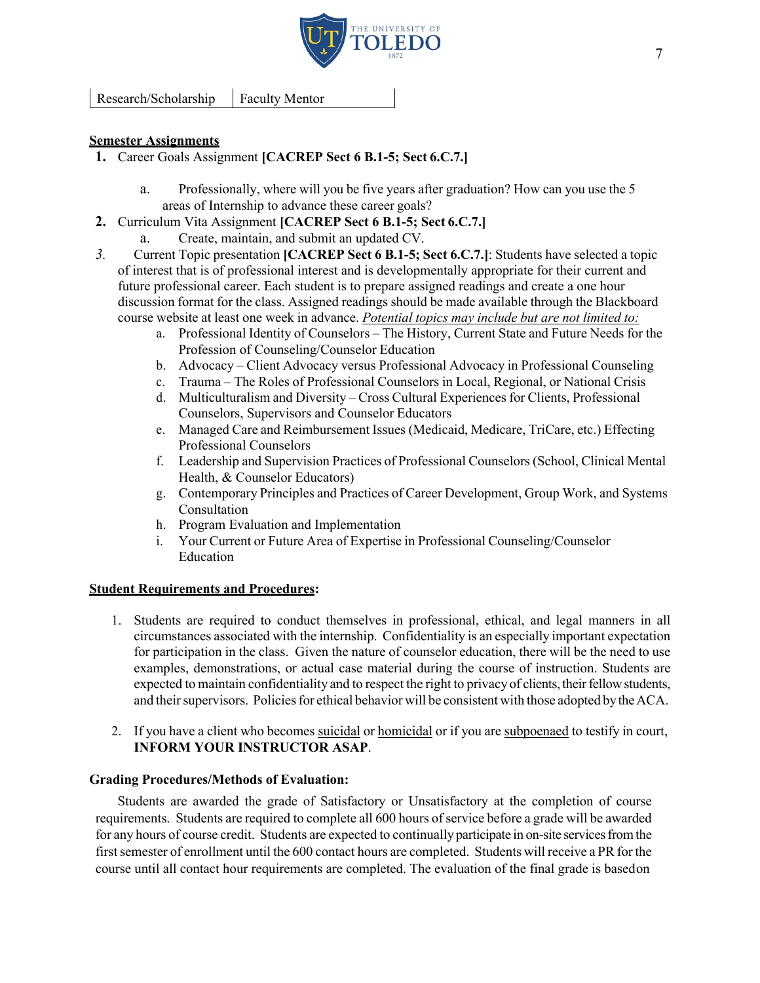

Research/Scholarship Faculty Mentor

### **Semester Assignments**

- **1.** Career Goals Assignment **[CACREP Sect 6 B.1-5; Sect 6.C.7.]**
	- a. Professionally, where will you be five years after graduation? How can you use the 5 areas of Internship to advance these career goals?
- **2.** Curriculum Vita Assignment **[CACREP Sect 6 B.1-5; Sect 6.C.7.]**
	- a. Create, maintain, and submit an updated CV.
- *3.* Current Topic presentation **[CACREP Sect 6 B.1-5; Sect 6.C.7.]**: Students have selected a topic of interest that is of professional interest and is developmentally appropriate for their current and future professional career. Each student is to prepare assigned readings and create a one hour discussion format for the class. Assigned readings should be made available through the Blackboard course website at least one week in advance. *Potential topics may include but are not limited to:*
	- a. Professional Identity of Counselors The History, Current State and Future Needs for the Profession of Counseling/Counselor Education
	- b. Advocacy Client Advocacy versus Professional Advocacy in Professional Counseling
	- c. Trauma The Roles of Professional Counselors in Local, Regional, or National Crisis
	- d. Multiculturalism and Diversity Cross Cultural Experiences for Clients, Professional Counselors, Supervisors and Counselor Educators
	- e. Managed Care and Reimbursement Issues (Medicaid, Medicare, TriCare, etc.) Effecting Professional Counselors
	- f. Leadership and Supervision Practices of Professional Counselors(School, Clinical Mental Health, & Counselor Educators)
	- g. Contemporary Principles and Practices of Career Development, Group Work, and Systems Consultation
	- h. Program Evaluation and Implementation
	- i. Your Current or Future Area of Expertise in Professional Counseling/Counselor Education

### **Student Requirements and Procedures:**

- 1. Students are required to conduct themselves in professional, ethical, and legal manners in all circumstances associated with the internship. Confidentiality is an especially important expectation for participation in the class. Given the nature of counselor education, there will be the need to use examples, demonstrations, or actual case material during the course of instruction. Students are expected to maintain confidentiality and to respect the right to privacy of clients, their fellow students, and their supervisors. Policies for ethical behavior will be consistent with those adopted by the ACA.
- 2. If you have a client who becomes suicidal or homicidal or if you are subpoenaed to testify in court, **INFORM YOUR INSTRUCTOR ASAP**.

### **Grading Procedures/Methods of Evaluation:**

Students are awarded the grade of Satisfactory or Unsatisfactory at the completion of course requirements. Students are required to complete all 600 hours of service before a grade will be awarded for any hours of course credit. Students are expected to continually participate in on-site servicesfromthe first semester of enrollment until the 600 contact hours are completed. Students will receive a PR for the course until all contact hour requirements are completed. The evaluation of the final grade is basedon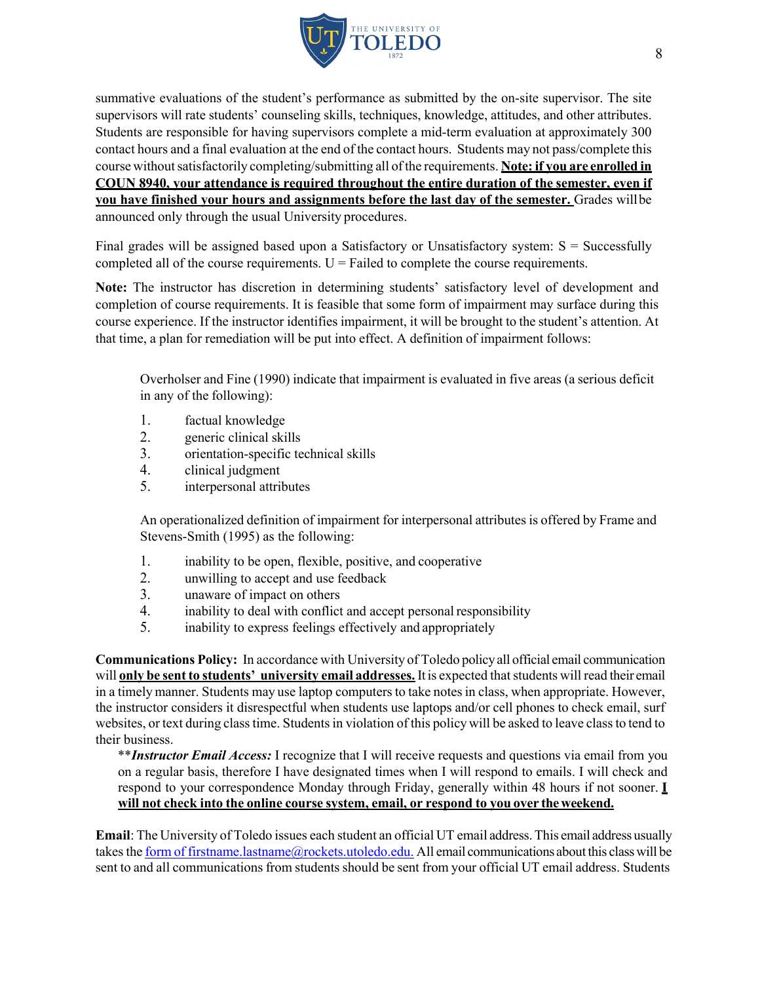

summative evaluations of the student's performance as submitted by the on-site supervisor. The site supervisors will rate students' counseling skills, techniques, knowledge, attitudes, and other attributes. Students are responsible for having supervisors complete a mid-term evaluation at approximately 300 contact hours and a final evaluation at the end of the contact hours. Students may not pass/complete this course withoutsatisfactorily completing/submitting all ofthe requirements. **Note:if you are enrolled in COUN 8940, your attendance is required throughout the entire duration of the semester, even if you have finished your hours and assignments before the last day of the semester.** Grades will be announced only through the usual University procedures.

Final grades will be assigned based upon a Satisfactory or Unsatisfactory system:  $S =$  Successfully completed all of the course requirements.  $U =$  Failed to complete the course requirements.

**Note:** The instructor has discretion in determining students' satisfactory level of development and completion of course requirements. It is feasible that some form of impairment may surface during this course experience. If the instructor identifies impairment, it will be brought to the student's attention. At that time, a plan for remediation will be put into effect. A definition of impairment follows:

Overholser and Fine (1990) indicate that impairment is evaluated in five areas (a serious deficit in any of the following):

- 1. factual knowledge
- 2. generic clinical skills
- 3. orientation-specific technical skills
- 4. clinical judgment
- 5. interpersonal attributes

An operationalized definition of impairment for interpersonal attributes is offered by Frame and Stevens-Smith (1995) as the following:

- 1. inability to be open, flexible, positive, and cooperative
- 2. unwilling to accept and use feedback
- 3. unaware of impact on others
- 4. inability to deal with conflict and accept personal responsibility
- 5. inability to express feelings effectively and appropriately

**Communications Policy:** In accordance with University of Toledo policyall official email communication will **only be sent to students' university email addresses.** It is expected thatstudents will read their email in a timely manner. Students may use laptop computers to take notes in class, when appropriate. However, the instructor considers it disrespectful when students use laptops and/or cell phones to check email, surf websites, or text during class time. Students in violation of this policy will be asked to leave class to tend to their business.

\*\**Instructor Email Access:* I recognize that I will receive requests and questions via email from you on a regular basis, therefore I have designated times when I will respond to emails. I will check and respond to your correspondence Monday through Friday, generally within 48 hours if not sooner. **I will not check into the online course system, email, or respond to you over theweekend.**

**Email**: The University of Toledo issues each student an official UT email address.This email address usually takesthe form of firstname.lastname@rockets.utoledo.edu. All email communications about this classwill be sent to and all communications from students should be sent from your official UT email address. Students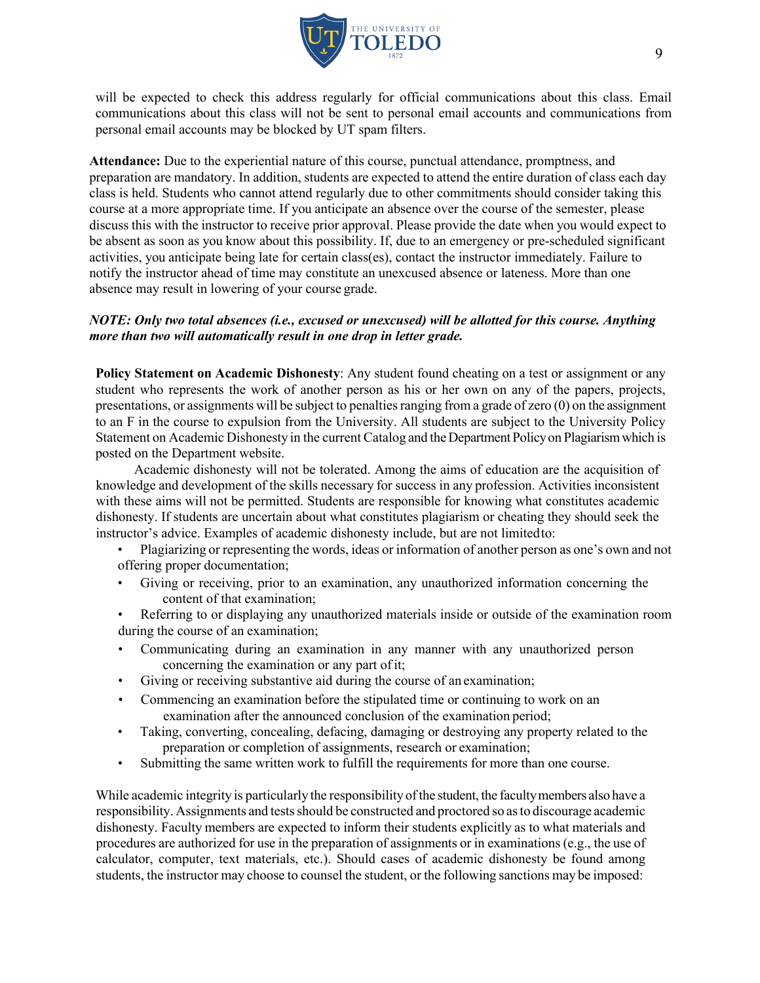

will be expected to check this address regularly for official communications about this class. Email communications about this class will not be sent to personal email accounts and communications from personal email accounts may be blocked by UT spam filters.

**Attendance:** Due to the experiential nature of this course, punctual attendance, promptness, and preparation are mandatory. In addition, students are expected to attend the entire duration of class each day class is held. Students who cannot attend regularly due to other commitments should consider taking this course at a more appropriate time. If you anticipate an absence over the course of the semester, please discuss this with the instructor to receive prior approval. Please provide the date when you would expect to be absent as soon as you know about this possibility. If, due to an emergency or pre-scheduled significant activities, you anticipate being late for certain class(es), contact the instructor immediately. Failure to notify the instructor ahead of time may constitute an unexcused absence or lateness. More than one absence may result in lowering of your course grade.

### *NOTE: Only two total absences (i.e., excused or unexcused) will be allotted for this course. Anything more than two will automatically result in one drop in letter grade.*

**Policy Statement on Academic Dishonesty**: Any student found cheating on a test or assignment or any student who represents the work of another person as his or her own on any of the papers, projects, presentations, or assignments will be subject to penaltiesranging from a grade of zero (0) on the assignment to an F in the course to expulsion from the University. All students are subject to the University Policy Statement on Academic Dishonesty in the current Catalog and the Department Policy on Plagiarism which is posted on the Department website.

Academic dishonesty will not be tolerated. Among the aims of education are the acquisition of knowledge and development of the skills necessary for success in any profession. Activities inconsistent with these aims will not be permitted. Students are responsible for knowing what constitutes academic dishonesty. If students are uncertain about what constitutes plagiarism or cheating they should seek the instructor's advice. Examples of academic dishonesty include, but are not limitedto:

- Plagiarizing or representing the words, ideas or information of another person as one's own and not offering proper documentation;
- Giving or receiving, prior to an examination, any unauthorized information concerning the content of that examination;
- Referring to or displaying any unauthorized materials inside or outside of the examination room during the course of an examination;
- Communicating during an examination in any manner with any unauthorized person concerning the examination or any part ofit;
- Giving or receiving substantive aid during the course of an examination;
- Commencing an examination before the stipulated time or continuing to work on an examination after the announced conclusion of the examination period;
- Taking, converting, concealing, defacing, damaging or destroying any property related to the preparation or completion of assignments, research or examination;
- Submitting the same written work to fulfill the requirements for more than one course.

While academic integrity is particularly the responsibility of the student, the faculty members also have a responsibility. Assignments and testsshould be constructed and proctored so asto discourage academic dishonesty. Faculty members are expected to inform their students explicitly as to what materials and procedures are authorized for use in the preparation of assignments or in examinations (e.g., the use of calculator, computer, text materials, etc.). Should cases of academic dishonesty be found among students, the instructor may choose to counsel the student, or the following sanctions may be imposed: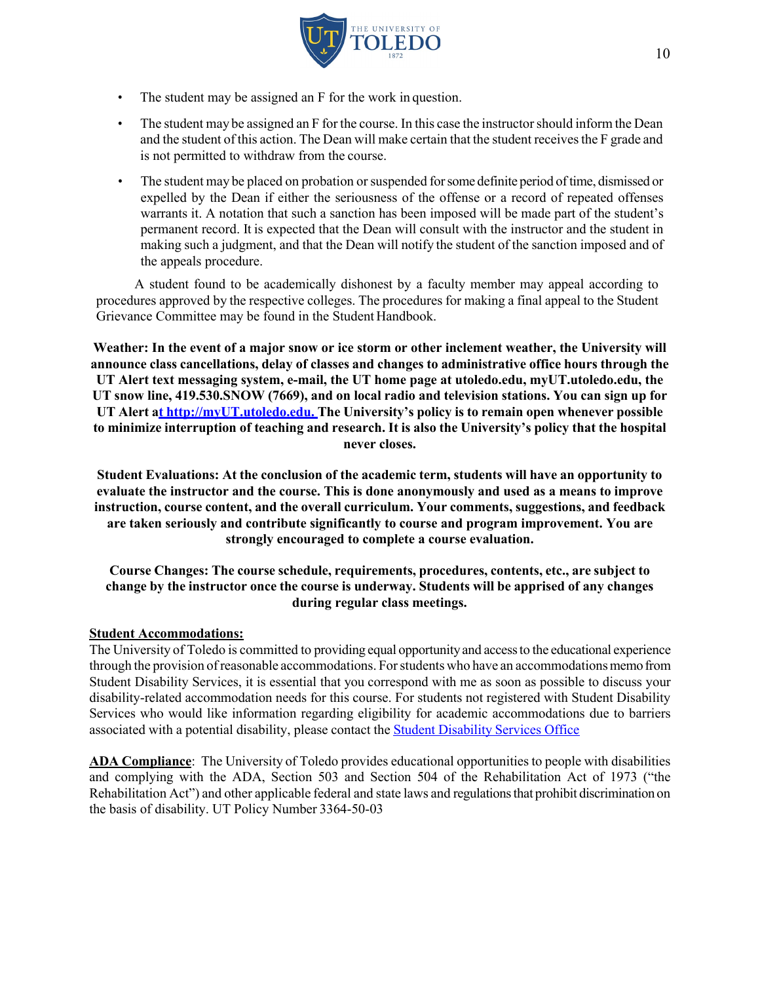

- The student may be assigned an F for the work in question.
- The student may be assigned an F for the course. In this case the instructor should inform the Dean and the student of this action. The Dean will make certain that the student receivesthe F grade and is not permitted to withdraw from the course.
- The student may be placed on probation or suspended for some definite period of time, dismissed or expelled by the Dean if either the seriousness of the offense or a record of repeated offenses warrants it. A notation that such a sanction has been imposed will be made part of the student's permanent record. It is expected that the Dean will consult with the instructor and the student in making such a judgment, and that the Dean will notify the student of the sanction imposed and of the appeals procedure.

A student found to be academically dishonest by a faculty member may appeal according to procedures approved by the respective colleges. The procedures for making a final appeal to the Student Grievance Committee may be found in the Student Handbook.

**Weather: In the event of a major snow or ice storm or other inclement weather, the University will announce class cancellations, delay of classes and changes to administrative office hours through the UT Alert text messaging system, e-mail, the UT home page at utoledo.edu, myUT.utoledo.edu, the UT snow line, 419.530.SNOW (7669), and on local radio and television stations. You can sign up for UT Alert at http://myUT.utoledo.edu. The University's policy is to remain open whenever possible to minimize interruption of teaching and research. It is also the University's policy that the hospital never closes.**

**Student Evaluations: At the conclusion of the academic term, students will have an opportunity to evaluate the instructor and the course. This is done anonymously and used as a means to improve instruction, course content, and the overall curriculum. Your comments, suggestions, and feedback are taken seriously and contribute significantly to course and program improvement. You are strongly encouraged to complete a course evaluation.**

**Course Changes: The course schedule, requirements, procedures, contents, etc., are subject to change by the instructor once the course is underway. Students will be apprised of any changes during regular class meetings.**

### **Student Accommodations:**

The University of Toledo is committed to providing equal opportunityand accessto the educational experience through the provision ofreasonable accommodations. Forstudents who have an accommodationsmemofrom Student Disability Services, it is essential that you correspond with me as soon as possible to discuss your disability-related accommodation needs for this course. For students not registered with Student Disability Services who would like information regarding eligibility for academic accommodations due to barriers associated with a potential disability, please contact the Student Disability Services Office

**ADA Compliance**: The University of Toledo provides educational opportunities to people with disabilities and complying with the ADA, Section 503 and Section 504 of the Rehabilitation Act of 1973 ("the Rehabilitation Act") and other applicable federal and state laws and regulationsthat prohibit discrimination on the basis of disability. UT Policy Number 3364-50-03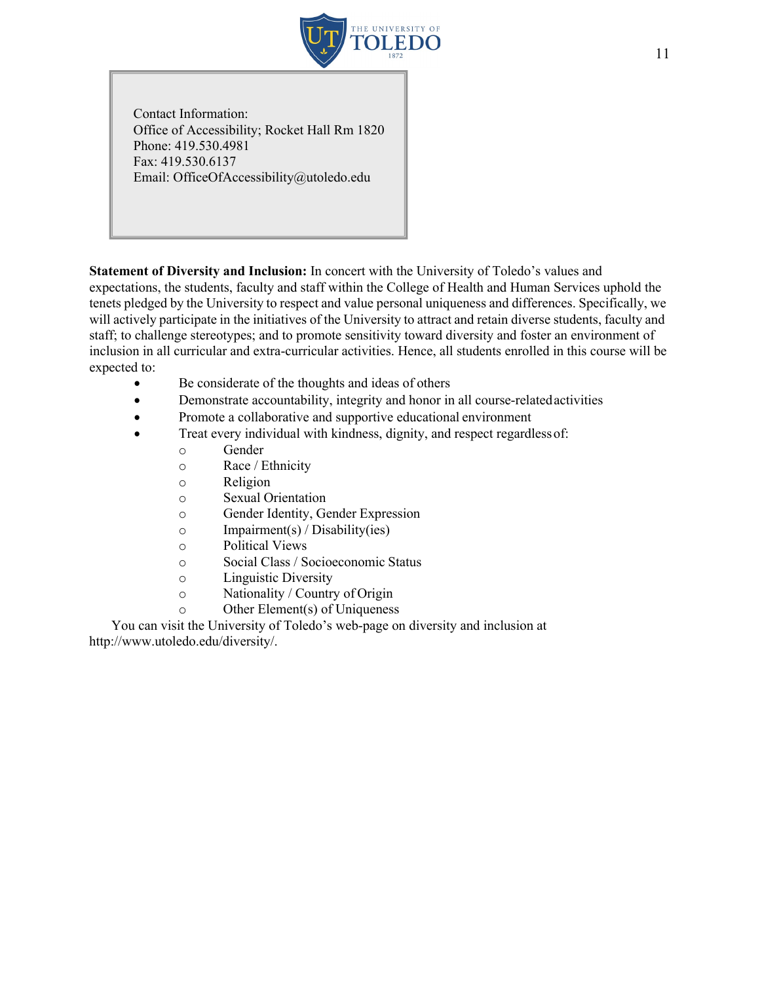

Contact Information: Office of Accessibility; Rocket Hall Rm 1820 Phone: 419.530.4981 Fax: 419.530.6137 Email: OfficeOfAccessibility@utoledo.edu

**Statement of Diversity and Inclusion:** In concert with the University of Toledo's values and expectations, the students, faculty and staff within the College of Health and Human Services uphold the tenets pledged by the University to respect and value personal uniqueness and differences. Specifically, we will actively participate in the initiatives of the University to attract and retain diverse students, faculty and staff; to challenge stereotypes; and to promote sensitivity toward diversity and foster an environment of inclusion in all curricular and extra-curricular activities. Hence, all students enrolled in this course will be expected to:

- Be considerate of the thoughts and ideas of others
- Demonstrate accountability, integrity and honor in all course-related activities
- Promote a collaborative and supportive educational environment
- Treat every individual with kindness, dignity, and respect regardless of:
	- o Gender
	- o Race / Ethnicity
	- o Religion
	- o Sexual Orientation
	- o Gender Identity, Gender Expression
	- $\circ$  Impairment(s) / Disability(ies)
	- o Political Views
	- o Social Class / Socioeconomic Status
	- o Linguistic Diversity
	- o Nationality / Country of Origin
	- o Other Element(s) of Uniqueness

You can visit the University of Toledo's web-page on diversity and inclusion at http://www.utoledo.edu/diversity/.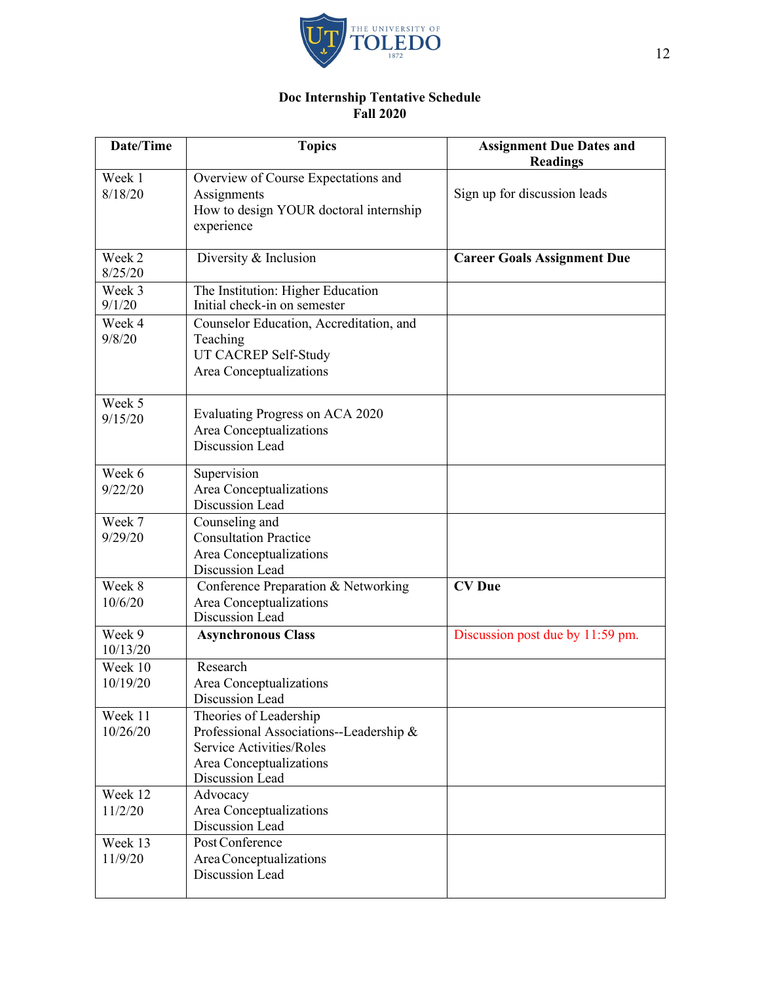

### **Doc Internship Tentative Schedule Fall 2020**

| Date/Time           | <b>Topics</b>                                                                                                                               | <b>Assignment Due Dates and</b><br><b>Readings</b> |
|---------------------|---------------------------------------------------------------------------------------------------------------------------------------------|----------------------------------------------------|
| Week 1<br>8/18/20   | Overview of Course Expectations and<br>Assignments<br>How to design YOUR doctoral internship<br>experience                                  | Sign up for discussion leads                       |
| Week 2<br>8/25/20   | Diversity & Inclusion                                                                                                                       | <b>Career Goals Assignment Due</b>                 |
| Week 3<br>9/1/20    | The Institution: Higher Education<br>Initial check-in on semester                                                                           |                                                    |
| Week 4<br>9/8/20    | Counselor Education, Accreditation, and<br>Teaching<br>UT CACREP Self-Study<br>Area Conceptualizations                                      |                                                    |
| Week 5<br>9/15/20   | Evaluating Progress on ACA 2020<br>Area Conceptualizations<br>Discussion Lead                                                               |                                                    |
| Week 6<br>9/22/20   | Supervision<br>Area Conceptualizations<br>Discussion Lead                                                                                   |                                                    |
| Week 7<br>9/29/20   | Counseling and<br><b>Consultation Practice</b><br>Area Conceptualizations<br>Discussion Lead                                                |                                                    |
| Week 8<br>10/6/20   | Conference Preparation & Networking<br>Area Conceptualizations<br>Discussion Lead                                                           | <b>CV</b> Due                                      |
| Week 9<br>10/13/20  | <b>Asynchronous Class</b>                                                                                                                   | Discussion post due by 11:59 pm.                   |
| Week 10<br>10/19/20 | Research<br>Area Conceptualizations<br>Discussion Lead                                                                                      |                                                    |
| Week 11<br>10/26/20 | Theories of Leadership<br>Professional Associations--Leadership &<br>Service Activities/Roles<br>Area Conceptualizations<br>Discussion Lead |                                                    |
| Week 12<br>11/2/20  | Advocacy<br>Area Conceptualizations<br>Discussion Lead                                                                                      |                                                    |
| Week 13<br>11/9/20  | Post Conference<br>Area Conceptualizations<br>Discussion Lead                                                                               |                                                    |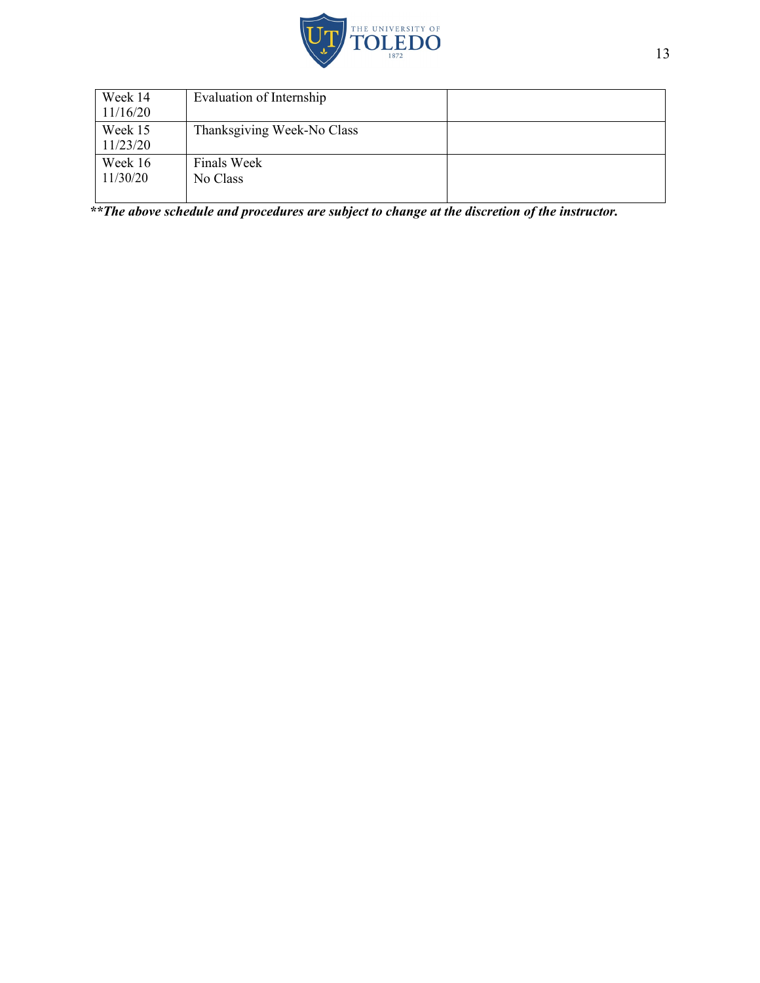

| Week 14  | Evaluation of Internship   |  |
|----------|----------------------------|--|
| 11/16/20 |                            |  |
| Week 15  | Thanksgiving Week-No Class |  |
| 11/23/20 |                            |  |
| Week 16  | Finals Week                |  |
| 11/30/20 | No Class                   |  |
|          |                            |  |

*\*\*The above schedule and procedures are subject to change at the discretion of the instructor.*